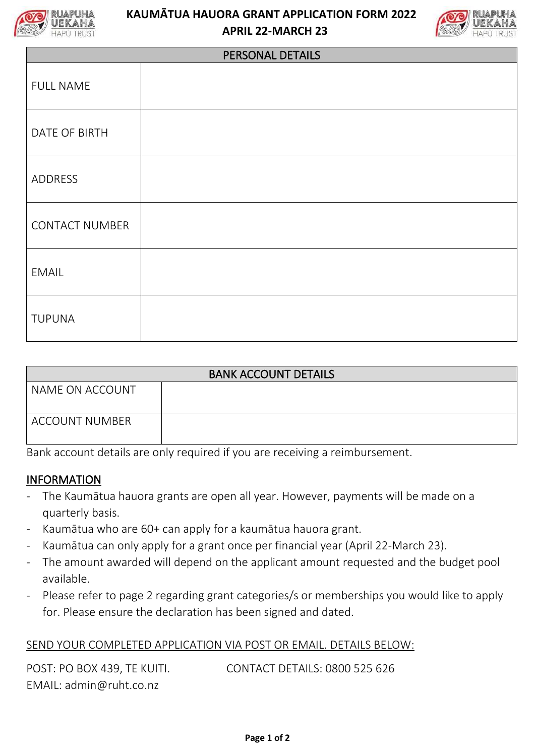

## **KAUMĀTUA HAUORA GRANT APPLICATION FORM 2022 APRIL 22-MARCH 23**



| PERSONAL DETAILS      |  |  |  |  |
|-----------------------|--|--|--|--|
| <b>FULL NAME</b>      |  |  |  |  |
| DATE OF BIRTH         |  |  |  |  |
| ADDRESS               |  |  |  |  |
| <b>CONTACT NUMBER</b> |  |  |  |  |
| <b>EMAIL</b>          |  |  |  |  |
| <b>TUPUNA</b>         |  |  |  |  |

| <b>BANK ACCOUNT DETAILS</b> |  |  |  |  |
|-----------------------------|--|--|--|--|
| NAME ON ACCOUNT             |  |  |  |  |
| <b>ACCOUNT NUMBER</b>       |  |  |  |  |

Bank account details are only required if you are receiving a reimbursement.

## INFORMATION

- The Kaumātua hauora grants are open all year. However, payments will be made on a quarterly basis.
- Kaumātua who are 60+ can apply for a kaumātua hauora grant.
- Kaumātua can only apply for a grant once per financial year (April 22-March 23).
- The amount awarded will depend on the applicant amount requested and the budget pool available.
- Please refer to page 2 regarding grant categories/s or memberships you would like to apply for. Please ensure the declaration has been signed and dated.

## SEND YOUR COMPLETED APPLICATION VIA POST OR EMAIL. DETAILS BELOW:

POST: PO BOX 439, TE KUITI. CONTACT DETAILS: 0800 525 626 EMAIL: admin@ruht.co.nz